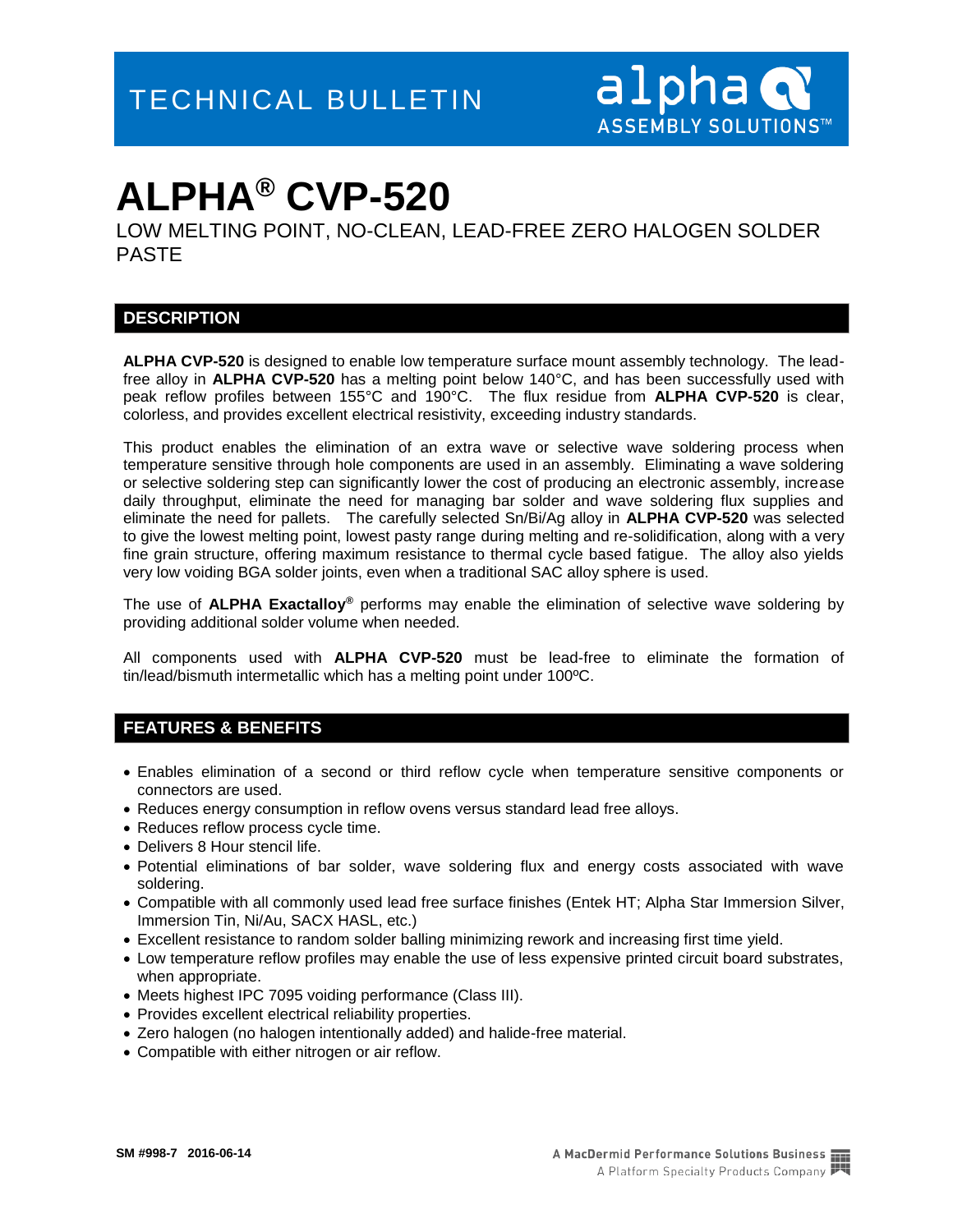LOW MELTING POINT, NO-CLEAN, LEAD-FREE ZERO HALOGEN SOLDER PASTE

### **DESCRIPTION**

**ALPHA CVP-520** is designed to enable low temperature surface mount assembly technology. The leadfree alloy in **ALPHA CVP-520** has a melting point below 140°C, and has been successfully used with peak reflow profiles between 155°C and 190°C. The flux residue from **ALPHA CVP-520** is clear, colorless, and provides excellent electrical resistivity, exceeding industry standards.

This product enables the elimination of an extra wave or selective wave soldering process when temperature sensitive through hole components are used in an assembly. Eliminating a wave soldering or selective soldering step can significantly lower the cost of producing an electronic assembly, increase daily throughput, eliminate the need for managing bar solder and wave soldering flux supplies and eliminate the need for pallets. The carefully selected Sn/Bi/Ag alloy in **ALPHA CVP-520** was selected to give the lowest melting point, lowest pasty range during melting and re-solidification, along with a very fine grain structure, offering maximum resistance to thermal cycle based fatigue. The alloy also yields very low voiding BGA solder joints, even when a traditional SAC alloy sphere is used.

The use of **ALPHA Exactalloy®** performs may enable the elimination of selective wave soldering by providing additional solder volume when needed.

All components used with **ALPHA CVP-520** must be lead-free to eliminate the formation of tin/lead/bismuth intermetallic which has a melting point under 100ºC.

### **FEATURES & BENEFITS**

- Enables elimination of a second or third reflow cycle when temperature sensitive components or connectors are used.
- Reduces energy consumption in reflow ovens versus standard lead free alloys.
- Reduces reflow process cycle time.
- Delivers 8 Hour stencil life.
- Potential eliminations of bar solder, wave soldering flux and energy costs associated with wave soldering.
- Compatible with all commonly used lead free surface finishes (Entek HT; Alpha Star Immersion Silver, Immersion Tin, Ni/Au, SACX HASL, etc.)
- Excellent resistance to random solder balling minimizing rework and increasing first time yield.
- Low temperature reflow profiles may enable the use of less expensive printed circuit board substrates, when appropriate.
- Meets highest IPC 7095 voiding performance (Class III).
- Provides excellent electrical reliability properties.
- Zero halogen (no halogen intentionally added) and halide-free material.
- Compatible with either nitrogen or air reflow.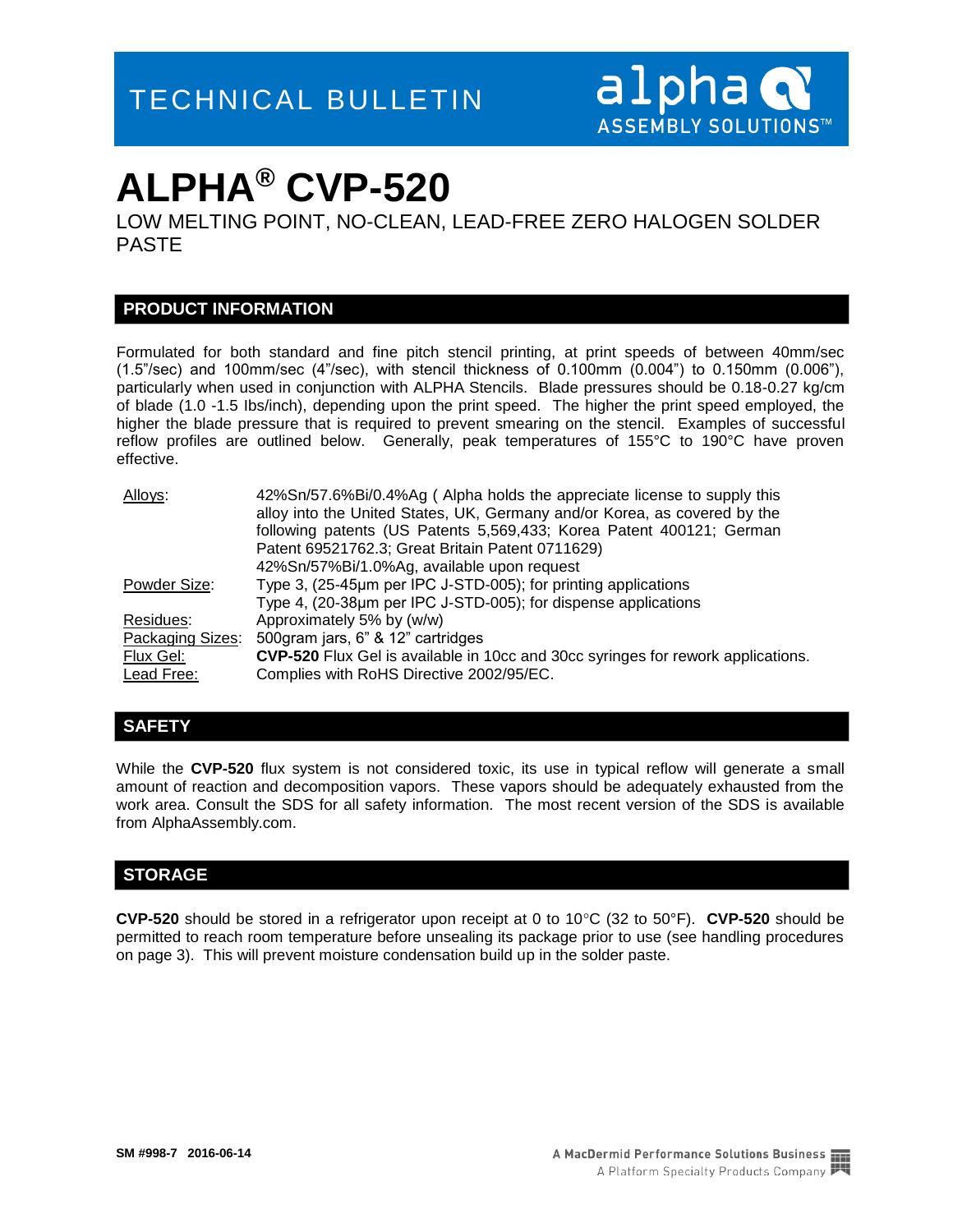LOW MELTING POINT, NO-CLEAN, LEAD-FREE ZERO HALOGEN SOLDER PASTE

### **PRODUCT INFORMATION**

Formulated for both standard and fine pitch stencil printing, at print speeds of between 40mm/sec (1.5"/sec) and 100mm/sec (4"/sec), with stencil thickness of 0.100mm (0.004") to 0.150mm (0.006"), particularly when used in conjunction with ALPHA Stencils. Blade pressures should be 0.18-0.27 kg/cm of blade (1.0 -1.5 Ibs/inch), depending upon the print speed. The higher the print speed employed, the higher the blade pressure that is required to prevent smearing on the stencil. Examples of successful reflow profiles are outlined below. Generally, peak temperatures of 155°C to 190°C have proven effective.

| Alloys:          | 42%Sn/57.6%Bi/0.4%Ag (Alpha holds the appreciate license to supply this          |
|------------------|----------------------------------------------------------------------------------|
|                  | alloy into the United States, UK, Germany and/or Korea, as covered by the        |
|                  | following patents (US Patents 5,569,433; Korea Patent 400121; German             |
|                  | Patent 69521762.3; Great Britain Patent 0711629)                                 |
|                  | 42%Sn/57%Bi/1.0%Ag, available upon request                                       |
| Powder Size:     | Type 3, (25-45µm per IPC J-STD-005); for printing applications                   |
|                  | Type 4, (20-38µm per IPC J-STD-005); for dispense applications                   |
| Residues:        | Approximately 5% by (w/w)                                                        |
| Packaging Sizes: | 500gram jars, 6" & 12" cartridges                                                |
| Flux Gel:        | CVP-520 Flux Gel is available in 10cc and 30cc syringes for rework applications. |
| Lead Free:       | Complies with RoHS Directive 2002/95/EC.                                         |

### **SAFETY**

While the **CVP-520** flux system is not considered toxic, its use in typical reflow will generate a small amount of reaction and decomposition vapors. These vapors should be adequately exhausted from the work area. Consult the SDS for all safety information. The most recent version of the SDS is available from AlphaAssembly.com.

### **STORAGE**

**CVP-520** should be stored in a refrigerator upon receipt at 0 to  $10^{\circ}$ C (32 to  $50^{\circ}$ F). **CVP-520** should be permitted to reach room temperature before unsealing its package prior to use (see handling procedures on page 3). This will prevent moisture condensation build up in the solder paste.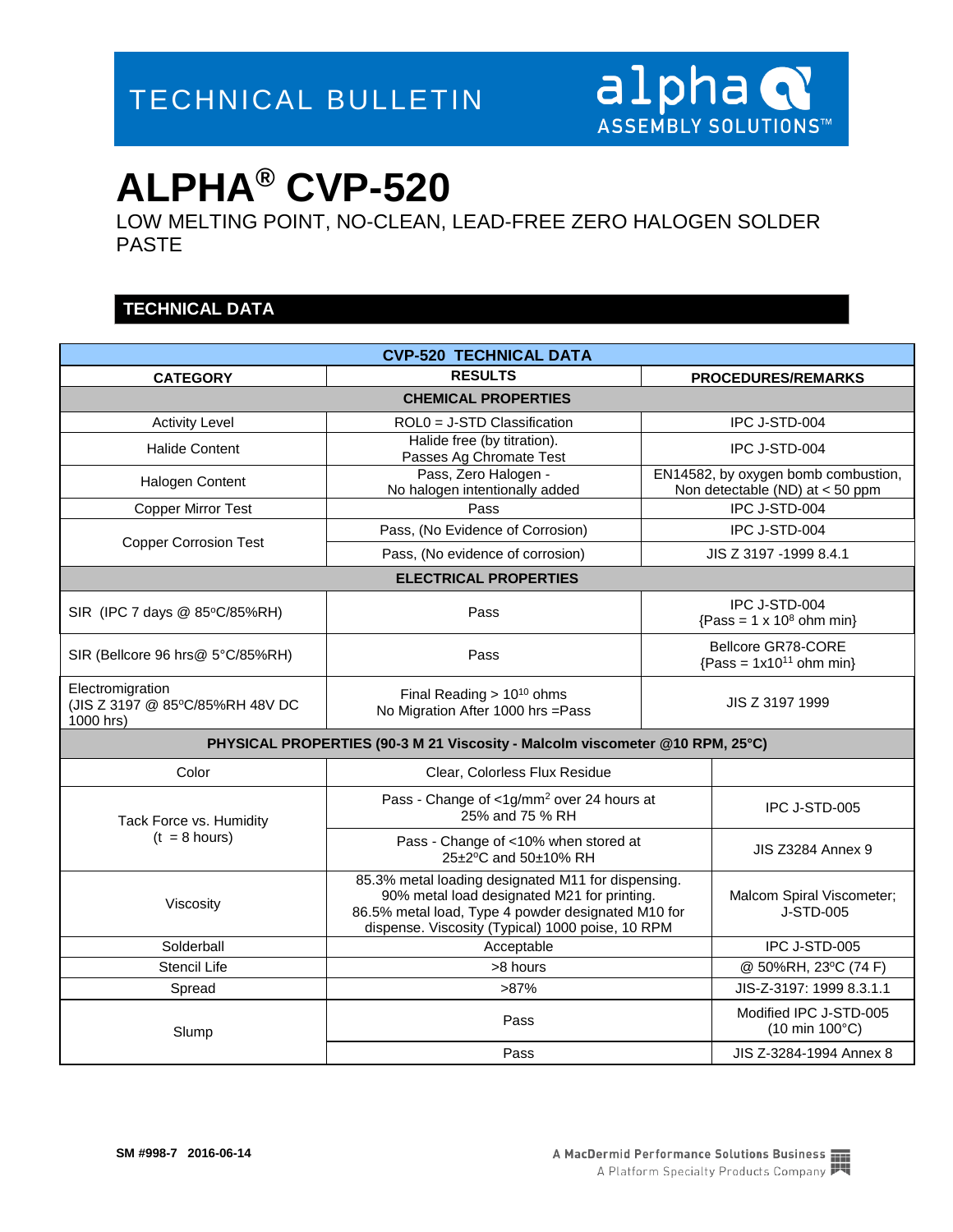LOW MELTING POINT, NO-CLEAN, LEAD-FREE ZERO HALOGEN SOLDER PASTE

### **TECHNICAL DATA**

| <b>CVP-520 TECHNICAL DATA</b>                                                                                                                                                                                            |                                                                          |                                                                        |                                          |  |  |  |
|--------------------------------------------------------------------------------------------------------------------------------------------------------------------------------------------------------------------------|--------------------------------------------------------------------------|------------------------------------------------------------------------|------------------------------------------|--|--|--|
| <b>CATEGORY</b>                                                                                                                                                                                                          | <b>RESULTS</b>                                                           |                                                                        | <b>PROCEDURES/REMARKS</b>                |  |  |  |
| <b>CHEMICAL PROPERTIES</b>                                                                                                                                                                                               |                                                                          |                                                                        |                                          |  |  |  |
| <b>Activity Level</b>                                                                                                                                                                                                    | ROL0 = J-STD Classification                                              |                                                                        | IPC J-STD-004                            |  |  |  |
| <b>Halide Content</b>                                                                                                                                                                                                    | Halide free (by titration).<br>Passes Ag Chromate Test                   |                                                                        | IPC J-STD-004                            |  |  |  |
| Halogen Content                                                                                                                                                                                                          | Pass, Zero Halogen -<br>No halogen intentionally added                   | EN14582, by oxygen bomb combustion,<br>Non detectable (ND) at < 50 ppm |                                          |  |  |  |
| <b>Copper Mirror Test</b>                                                                                                                                                                                                | Pass                                                                     | IPC J-STD-004                                                          |                                          |  |  |  |
| <b>Copper Corrosion Test</b>                                                                                                                                                                                             | Pass, (No Evidence of Corrosion)                                         | IPC J-STD-004                                                          |                                          |  |  |  |
|                                                                                                                                                                                                                          | Pass, (No evidence of corrosion)                                         | JIS Z 3197 -1999 8.4.1                                                 |                                          |  |  |  |
|                                                                                                                                                                                                                          | <b>ELECTRICAL PROPERTIES</b>                                             |                                                                        |                                          |  |  |  |
| SIR (IPC 7 days @ 85°C/85%RH)                                                                                                                                                                                            | Pass                                                                     | IPC J-STD-004<br>${Pass = 1 × 108 ohm min}$                            |                                          |  |  |  |
| SIR (Bellcore 96 hrs@ 5°C/85%RH)                                                                                                                                                                                         | Pass                                                                     | Bellcore GR78-CORE<br>${Pass = 1x10^{11} ohm min}$                     |                                          |  |  |  |
| Electromigration<br>(JIS Z 3197 @ 85°C/85%RH 48V DC<br>1000 hrs)                                                                                                                                                         | Final Reading $> 10^{10}$ ohms<br>No Migration After 1000 hrs = Pass     | JIS Z 3197 1999                                                        |                                          |  |  |  |
| PHYSICAL PROPERTIES (90-3 M 21 Viscosity - Malcolm viscometer @10 RPM, 25°C)                                                                                                                                             |                                                                          |                                                                        |                                          |  |  |  |
| Color                                                                                                                                                                                                                    | Clear, Colorless Flux Residue                                            |                                                                        |                                          |  |  |  |
| Tack Force vs. Humidity                                                                                                                                                                                                  | Pass - Change of <1g/mm <sup>2</sup> over 24 hours at<br>25% and 75 % RH |                                                                        | IPC J-STD-005                            |  |  |  |
| $(t = 8 \text{ hours})$                                                                                                                                                                                                  | Pass - Change of <10% when stored at<br>25±2°C and 50±10% RH             |                                                                        | <b>JIS Z3284 Annex 9</b>                 |  |  |  |
| 85.3% metal loading designated M11 for dispensing.<br>90% metal load designated M21 for printing.<br>Viscosity<br>86.5% metal load, Type 4 powder designated M10 for<br>dispense. Viscosity (Typical) 1000 poise, 10 RPM |                                                                          |                                                                        | Malcom Spiral Viscometer;<br>J-STD-005   |  |  |  |
| Solderball<br>Acceptable                                                                                                                                                                                                 |                                                                          |                                                                        | IPC J-STD-005                            |  |  |  |
| <b>Stencil Life</b>                                                                                                                                                                                                      | >8 hours                                                                 |                                                                        | @ 50%RH, 23°C (74 F)                     |  |  |  |
| Spread                                                                                                                                                                                                                   | $>87\%$                                                                  |                                                                        | JIS-Z-3197: 1999 8.3.1.1                 |  |  |  |
| Slump                                                                                                                                                                                                                    | Pass                                                                     |                                                                        | Modified IPC J-STD-005<br>(10 min 100°C) |  |  |  |
|                                                                                                                                                                                                                          | Pass                                                                     |                                                                        | JIS Z-3284-1994 Annex 8                  |  |  |  |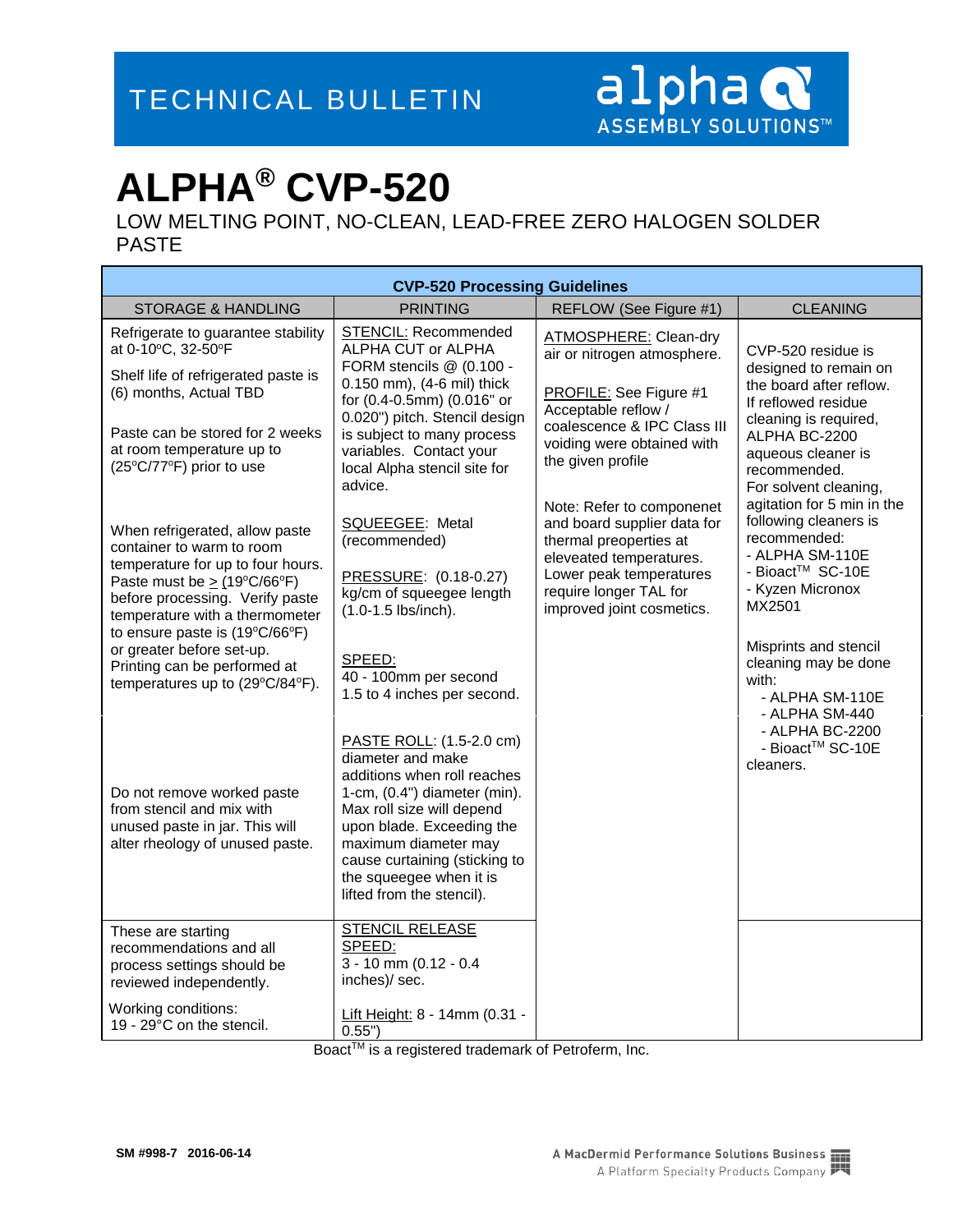LOW MELTING POINT, NO-CLEAN, LEAD-FREE ZERO HALOGEN SOLDER PASTE

| <b>CVP-520 Processing Guidelines</b>                                                                                                                                    |                                                                                                                                                                                                                                                                                             |                                                                                                                                                                                                 |                                                                                                                                                                                                                                                                          |  |  |  |
|-------------------------------------------------------------------------------------------------------------------------------------------------------------------------|---------------------------------------------------------------------------------------------------------------------------------------------------------------------------------------------------------------------------------------------------------------------------------------------|-------------------------------------------------------------------------------------------------------------------------------------------------------------------------------------------------|--------------------------------------------------------------------------------------------------------------------------------------------------------------------------------------------------------------------------------------------------------------------------|--|--|--|
| <b>STORAGE &amp; HANDLING</b>                                                                                                                                           | <b>PRINTING</b>                                                                                                                                                                                                                                                                             | REFLOW (See Figure #1)                                                                                                                                                                          | <b>CLEANING</b>                                                                                                                                                                                                                                                          |  |  |  |
| Refrigerate to guarantee stability<br>at 0-10°C, 32-50°F<br>Shelf life of refrigerated paste is                                                                         | <b>STENCIL: Recommended</b><br>ALPHA CUT or ALPHA<br>FORM stencils @ (0.100 -<br>0.150 mm), (4-6 mil) thick                                                                                                                                                                                 | <b>ATMOSPHERE: Clean-dry</b><br>air or nitrogen atmosphere.                                                                                                                                     | CVP-520 residue is<br>designed to remain on<br>the board after reflow.                                                                                                                                                                                                   |  |  |  |
| (6) months, Actual TBD<br>Paste can be stored for 2 weeks<br>at room temperature up to<br>(25°C/77°F) prior to use                                                      | for (0.4-0.5mm) (0.016" or<br>0.020") pitch. Stencil design<br>is subject to many process<br>variables. Contact your<br>local Alpha stencil site for<br>advice.                                                                                                                             | PROFILE: See Figure #1<br>Acceptable reflow /<br>coalescence & IPC Class III<br>voiding were obtained with<br>the given profile                                                                 | If reflowed residue<br>cleaning is required,<br>ALPHA BC-2200<br>aqueous cleaner is<br>recommended.<br>For solvent cleaning,<br>agitation for 5 min in the<br>following cleaners is<br>recommended:<br>- ALPHA SM-110E<br>- Bioact™ SC-10E<br>- Kyzen Micronox<br>MX2501 |  |  |  |
| When refrigerated, allow paste<br>container to warm to room<br>temperature for up to four hours.<br>Paste must be $\geq$ (19°C/66°F)<br>before processing. Verify paste | SQUEEGEE: Metal<br>(recommended)<br>PRESSURE: (0.18-0.27)<br>kg/cm of squeegee length<br>$(1.0 - 1.5$ lbs/inch).                                                                                                                                                                            | Note: Refer to componenet<br>and board supplier data for<br>thermal preoperties at<br>eleveated temperatures.<br>Lower peak temperatures<br>require longer TAL for<br>improved joint cosmetics. |                                                                                                                                                                                                                                                                          |  |  |  |
| temperature with a thermometer<br>to ensure paste is (19°C/66°F)<br>or greater before set-up.<br>Printing can be performed at<br>temperatures up to (29°C/84°F).        | SPEED:<br>40 - 100mm per second<br>1.5 to 4 inches per second.                                                                                                                                                                                                                              |                                                                                                                                                                                                 | Misprints and stencil<br>cleaning may be done<br>with:<br>- ALPHA SM-110E<br>- ALPHA SM-440                                                                                                                                                                              |  |  |  |
| Do not remove worked paste<br>from stencil and mix with<br>unused paste in jar. This will<br>alter rheology of unused paste.                                            | PASTE ROLL: (1.5-2.0 cm)<br>diameter and make<br>additions when roll reaches<br>1-cm, $(0.4)$ diameter $(min)$ .<br>Max roll size will depend<br>upon blade. Exceeding the<br>maximum diameter may<br>cause curtaining (sticking to<br>the squeegee when it is<br>lifted from the stencil). |                                                                                                                                                                                                 | - ALPHA BC-2200<br>- Bioact™ SC-10E<br>cleaners.                                                                                                                                                                                                                         |  |  |  |
| These are starting<br>recommendations and all<br>process settings should be<br>reviewed independently.                                                                  | <b>STENCIL RELEASE</b><br>SPEED:<br>3 - 10 mm (0.12 - 0.4<br>inches)/ sec.                                                                                                                                                                                                                  |                                                                                                                                                                                                 |                                                                                                                                                                                                                                                                          |  |  |  |
| Working conditions:<br>19 - 29°C on the stencil.                                                                                                                        | Lift Height: 8 - 14mm (0.31 -<br>0.55")                                                                                                                                                                                                                                                     |                                                                                                                                                                                                 |                                                                                                                                                                                                                                                                          |  |  |  |

Boact<sup>™</sup> is a registered trademark of Petroferm, Inc.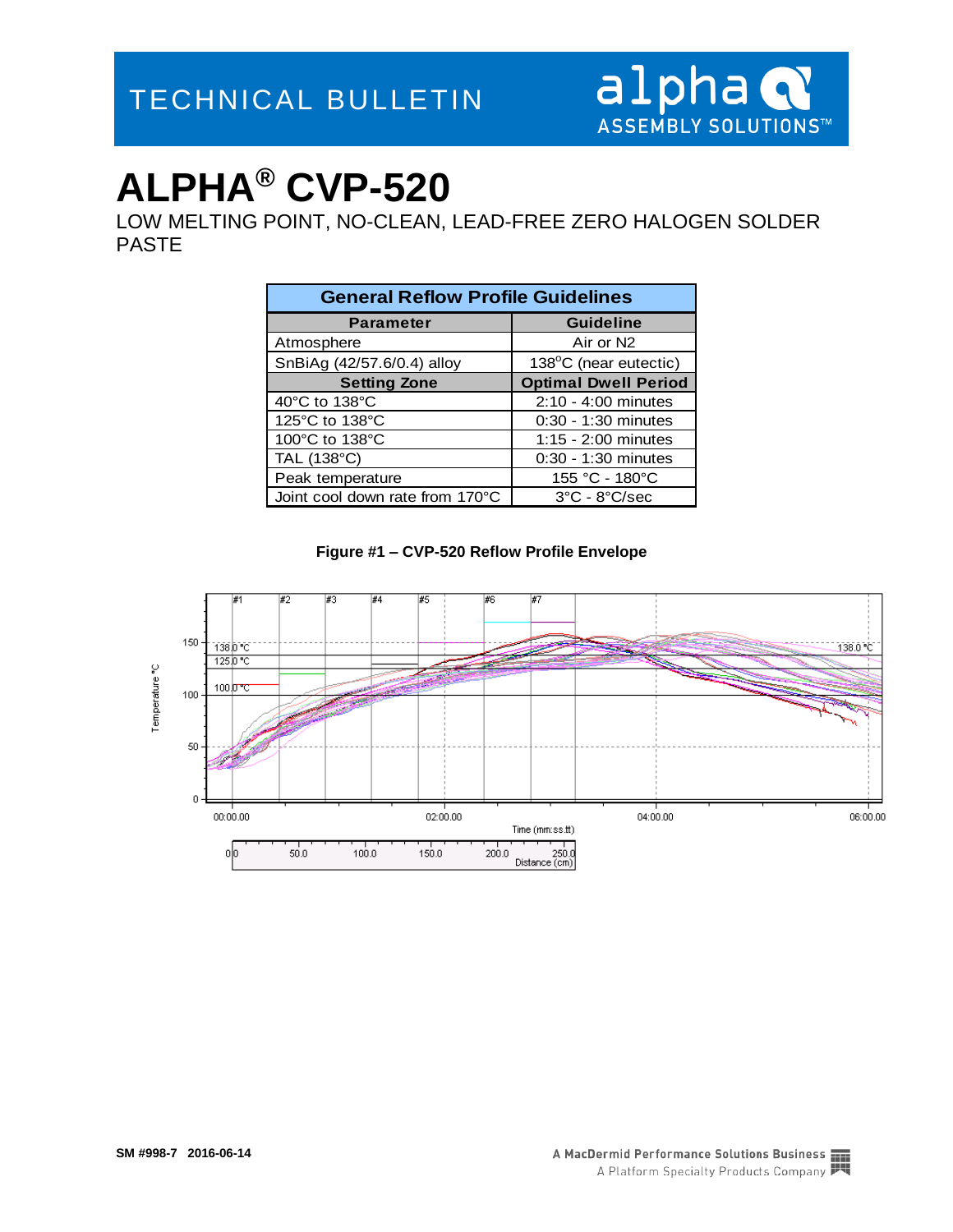LOW MELTING POINT, NO-CLEAN, LEAD-FREE ZERO HALOGEN SOLDER PASTE

| <b>General Reflow Profile Guidelines</b> |                                   |  |  |  |
|------------------------------------------|-----------------------------------|--|--|--|
| <b>Parameter</b>                         | <b>Guideline</b>                  |  |  |  |
| Atmosphere                               | Air or N <sub>2</sub>             |  |  |  |
| SnBiAg (42/57.6/0.4) alloy               | 138°C (near eutectic)             |  |  |  |
| <b>Setting Zone</b>                      | <b>Optimal Dwell Period</b>       |  |  |  |
| 40°C to 138°C                            | 2:10 - 4:00 minutes               |  |  |  |
| 125°C to 138°C                           | 0:30 - 1:30 minutes               |  |  |  |
| 100°C to 138°C                           | $1:15 - 2:00$ minutes             |  |  |  |
| TAL (138°C)                              | 0:30 - 1:30 minutes               |  |  |  |
| Peak temperature                         | 155 °C - 180°C                    |  |  |  |
| Joint cool down rate from 170°C          | $3^{\circ}$ C - $8^{\circ}$ C/sec |  |  |  |

**Figure #1 – CVP-520 Reflow Profile Envelope**